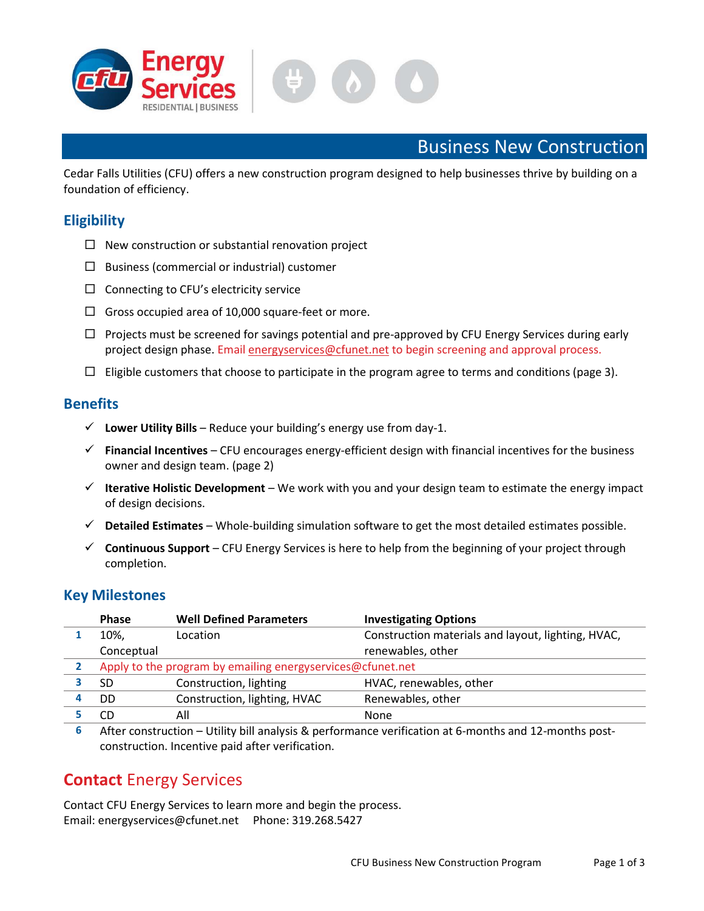



# Business New Construction

Cedar Falls Utilities (CFU) offers a new construction program designed to help businesses thrive by building on a foundation of efficiency.

# **Eligibility**

- $\Box$  New construction or substantial renovation project
- $\square$  Business (commercial or industrial) customer
- $\Box$  Connecting to CFU's electricity service
- $\Box$  Gross occupied area of 10,000 square-feet or more.
- $\Box$  Projects must be screened for savings potential and pre-approved by CFU Energy Services during early project design phase. Email energyservices@cfunet.net to begin screening and approval process.
- $\Box$  Eligible customers that choose to participate in the program agree to terms and conditions (page 3).

## **Benefits**

- $\checkmark$  Lower Utility Bills Reduce your building's energy use from day-1.
- $\checkmark$  Financial Incentives CFU encourages energy-efficient design with financial incentives for the business owner and design team. (page 2)
- $\checkmark$  Iterative Holistic Development We work with you and your design team to estimate the energy impact of design decisions.
- $\checkmark$  Detailed Estimates Whole-building simulation software to get the most detailed estimates possible.
- $\checkmark$  Continuous Support CFU Energy Services is here to help from the beginning of your project through completion.

## Key Milestones

| <b>Phase</b>                                               | <b>Well Defined Parameters</b> | <b>Investigating Options</b>                                                                        |  |  |
|------------------------------------------------------------|--------------------------------|-----------------------------------------------------------------------------------------------------|--|--|
| 10%,                                                       | Location                       | Construction materials and layout, lighting, HVAC,                                                  |  |  |
| Conceptual                                                 |                                | renewables, other                                                                                   |  |  |
| Apply to the program by emailing energyservices@cfunet.net |                                |                                                                                                     |  |  |
| SD                                                         | Construction, lighting         | HVAC, renewables, other                                                                             |  |  |
| DD                                                         | Construction, lighting, HVAC   | Renewables, other                                                                                   |  |  |
| CD                                                         | All                            | None                                                                                                |  |  |
| $\ddot{\phantom{1}}$                                       | $\blacksquare$                 | $\cdot$<br>.<br>$\overline{\phantom{a}}$<br>$\sim$ $\sim$ $\sim$<br>$\cdot$<br>$\sim$ $\sim$ $\sim$ |  |  |

6 After construction – Utility bill analysis & performance verification at 6-months and 12-months postconstruction. Incentive paid after verification.

# Contact Energy Services

Contact CFU Energy Services to learn more and begin the process. Email: energyservices@cfunet.net Phone: 319.268.5427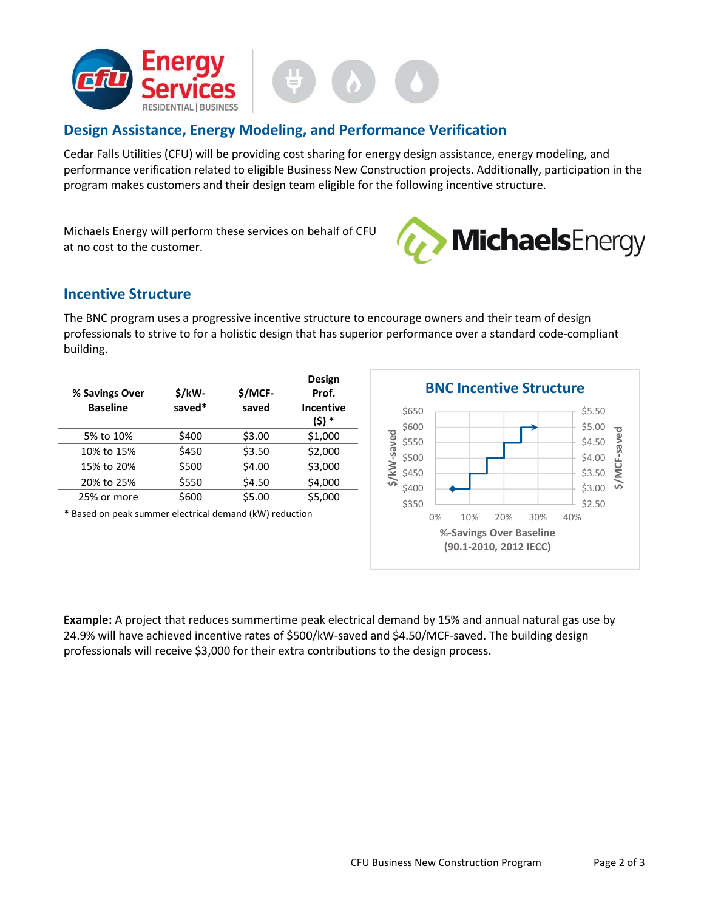

# Design Assistance, Energy Modeling, and Performance Verification

Cedar Falls Utilities (CFU) will be providing cost sharing for energy design assistance, energy modeling, and performance verification related to eligible Business New Construction projects. Additionally, participation in the program makes customers and their design team eligible for the following incentive structure.

Michaels Energy will perform these services on behalf of CFU at no cost to the customer.



## Incentive Structure

The BNC program uses a progressive incentive structure to encourage owners and their team of design professionals to strive to for a holistic design that has superior performance over a standard code-compliant building.

| % Savings Over<br><b>Baseline</b> | \$/kW-<br>saved* | \$/MCF-<br>saved | Design<br>Prof.<br><b>Incentive</b><br>(\$) * |
|-----------------------------------|------------------|------------------|-----------------------------------------------|
| 5% to 10%                         | \$400            | \$3.00           | \$1,000                                       |
| 10% to 15%                        | \$450            | \$3.50           | \$2,000                                       |
| 15% to 20%                        | \$500            | \$4.00           | \$3,000                                       |
| 20% to 25%                        | \$550            | \$4.50           | \$4,000                                       |
| 25% or more                       | \$600            | \$5.00           | \$5,000                                       |
|                                   |                  |                  |                                               |

\* Based on peak summer electrical demand (kW) reduction



Example: A project that reduces summertime peak electrical demand by 15% and annual natural gas use by 24.9% will have achieved incentive rates of \$500/kW-saved and \$4.50/MCF-saved. The building design professionals will receive \$3,000 for their extra contributions to the design process.